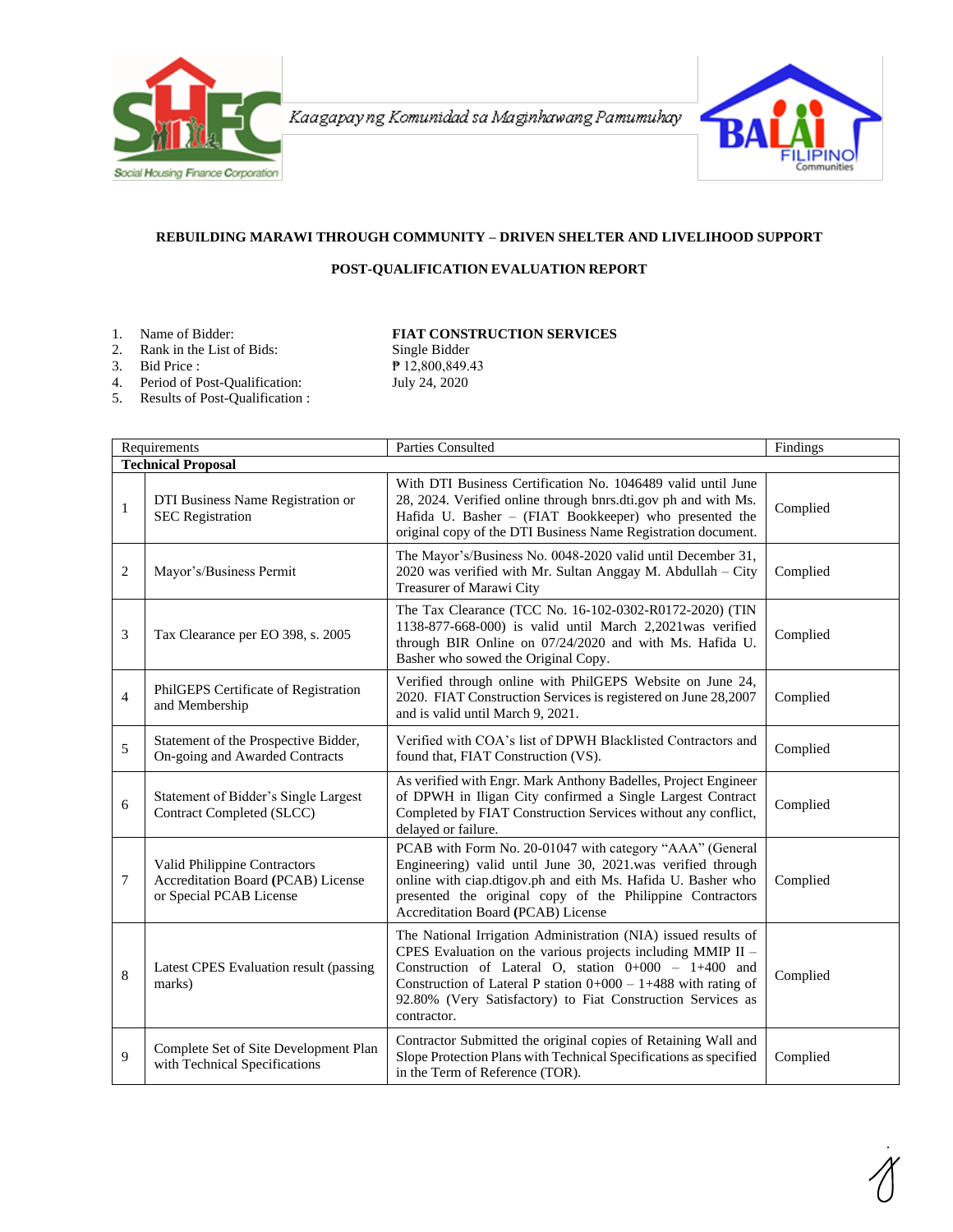

Kaagapay ng Komunidad sa Maginhawang Pamumuhay



## **REBUILDING MARAWI THROUGH COMMUNITY – DRIVEN SHELTER AND LIVELIHOOD SUPPORT**

## **POST-QUALIFICATION EVALUATION REPORT**

2. Rank in the List of Bids:

1. Name of Bidder: **FIAT CONSTRUCTION SERVICES**<br>2. Rank in the List of Bids: Single Bidder

3. Bid Price : **P** 12,800,849.43 4. Period of Post-Qualification: July 24, 2020

5. Results of Post-Qualification :

|                           | Requirements                                                                                  | Parties Consulted                                                                                                                                                                                                                                                                                                                         | Findings |  |
|---------------------------|-----------------------------------------------------------------------------------------------|-------------------------------------------------------------------------------------------------------------------------------------------------------------------------------------------------------------------------------------------------------------------------------------------------------------------------------------------|----------|--|
| <b>Technical Proposal</b> |                                                                                               |                                                                                                                                                                                                                                                                                                                                           |          |  |
| $\mathbf{1}$              | DTI Business Name Registration or<br><b>SEC</b> Registration                                  | With DTI Business Certification No. 1046489 valid until June<br>28, 2024. Verified online through bnrs.dti.gov ph and with Ms.<br>Hafida U. Basher - (FIAT Bookkeeper) who presented the<br>original copy of the DTI Business Name Registration document.                                                                                 | Complied |  |
| 2                         | Mayor's/Business Permit                                                                       | The Mayor's/Business No. 0048-2020 valid until December 31,<br>2020 was verified with Mr. Sultan Anggay M. Abdullah - City<br>Treasurer of Marawi City                                                                                                                                                                                    | Complied |  |
| 3                         | Tax Clearance per EO 398, s. 2005                                                             | The Tax Clearance (TCC No. 16-102-0302-R0172-2020) (TIN<br>1138-877-668-000) is valid until March 2,2021was verified<br>through BIR Online on 07/24/2020 and with Ms. Hafida U.<br>Basher who sowed the Original Copy.                                                                                                                    | Complied |  |
| $\overline{4}$            | PhilGEPS Certificate of Registration<br>and Membership                                        | Verified through online with PhilGEPS Website on June 24,<br>2020. FIAT Construction Services is registered on June 28,2007<br>and is valid until March 9, 2021.                                                                                                                                                                          | Complied |  |
| 5                         | Statement of the Prospective Bidder,<br>On-going and Awarded Contracts                        | Verified with COA's list of DPWH Blacklisted Contractors and<br>found that, FIAT Construction (VS).                                                                                                                                                                                                                                       | Complied |  |
| 6                         | Statement of Bidder's Single Largest<br>Contract Completed (SLCC)                             | As verified with Engr. Mark Anthony Badelles, Project Engineer<br>of DPWH in Iligan City confirmed a Single Largest Contract<br>Completed by FIAT Construction Services without any conflict,<br>delayed or failure.                                                                                                                      | Complied |  |
| 7                         | Valid Philippine Contractors<br>Accreditation Board (PCAB) License<br>or Special PCAB License | PCAB with Form No. 20-01047 with category "AAA" (General<br>Engineering) valid until June 30, 2021.was verified through<br>online with ciap.dtigov.ph and eith Ms. Hafida U. Basher who<br>presented the original copy of the Philippine Contractors<br><b>Accreditation Board (PCAB)</b> License                                         | Complied |  |
| 8                         | Latest CPES Evaluation result (passing<br>marks)                                              | The National Irrigation Administration (NIA) issued results of<br>CPES Evaluation on the various projects including MMIP II -<br>Construction of Lateral O, station $0+000 - 1+400$ and<br>Construction of Lateral P station $0+000 - 1+488$ with rating of<br>92.80% (Very Satisfactory) to Fiat Construction Services as<br>contractor. | Complied |  |
| 9                         | Complete Set of Site Development Plan<br>with Technical Specifications                        | Contractor Submitted the original copies of Retaining Wall and<br>Slope Protection Plans with Technical Specifications as specified<br>in the Term of Reference (TOR).                                                                                                                                                                    | Complied |  |